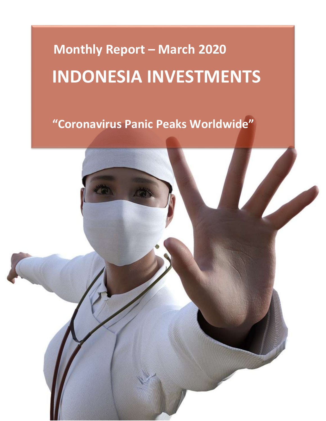# **Monthly Report – March 2020 INDONESIA INVESTMENTS**

## **"Coronavirus Panic Peaks Worldwide"**

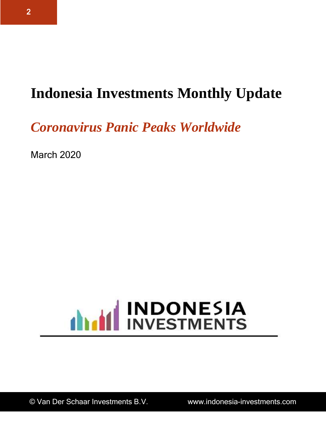# **Indonesia Investments Monthly Update**

*Coronavirus Panic Peaks Worldwide*

March 2020

# **ANTIFICATE INDONESIA**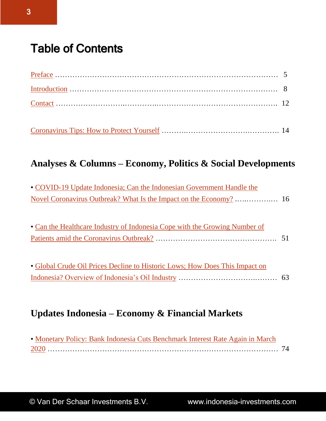## <span id="page-2-0"></span>Table of Contents

[Coronavirus Tips: How to Protect Yourself](#page-13-0) ……….…………………….…………. 14

#### **Analyses & Columns – Economy, Politics & Social Developments**

| • COVID-19 Update Indonesia; Can the Indonesian Government Handle the |  |
|-----------------------------------------------------------------------|--|
|                                                                       |  |

• Can the Healthcare Industry of Indonesia Cope with the Growing Number of Patients amid the Coronavirus Outbreak? …………………………………………. 51

| • Global Crude Oil Prices Decline to Historic Lows; How Does This Impact on |  |
|-----------------------------------------------------------------------------|--|
|                                                                             |  |

#### **Updates Indonesia – Economy & Financial Markets**

| • Monetary Policy: Bank Indonesia Cuts Benchmark Interest Rate Again in March |  |
|-------------------------------------------------------------------------------|--|
|                                                                               |  |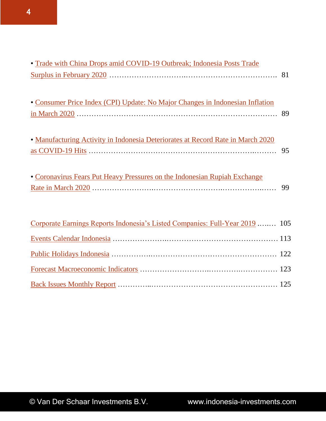| • Trade with China Drops amid COVID-19 Outbreak; Indonesia Posts Trade          |    |
|---------------------------------------------------------------------------------|----|
|                                                                                 |    |
|                                                                                 |    |
| • Consumer Price Index (CPI) Update: No Major Changes in Indonesian Inflation   |    |
|                                                                                 |    |
|                                                                                 |    |
| • Manufacturing Activity in Indonesia Deteriorates at Record Rate in March 2020 |    |
| $\frac{\text{as COVID-19} \text{ Hits}}{\text{as COVID-19} \text{ Hits}}$       | 95 |
| • Coronavirus Fears Put Heavy Pressures on the Indonesian Rupiah Exchange       |    |
|                                                                                 | 99 |
|                                                                                 |    |
|                                                                                 |    |
| Corporate Earnings Reports Indonesia's Listed Companies: Full-Year 2019  105    |    |
|                                                                                 |    |
|                                                                                 |    |
|                                                                                 |    |
|                                                                                 |    |
|                                                                                 |    |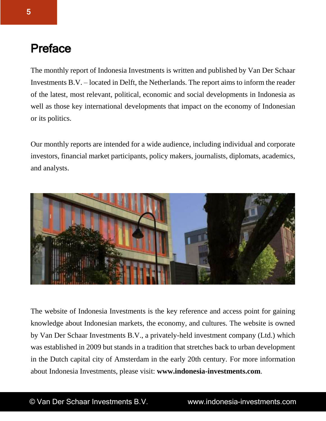### <span id="page-4-0"></span>Preface

The monthly report of Indonesia Investments is written and published by Van Der Schaar Investments B.V. – located in Delft, the Netherlands. The report aims to inform the reader of the latest, most relevant, political, economic and social developments in Indonesia as well as those key international developments that impact on the economy of Indonesian or its politics.

Our monthly reports are intended for a wide audience, including individual and corporate investors, financial market participants, policy makers, journalists, diplomats, academics, and analysts.



The website of Indonesia Investments is the key reference and access point for gaining knowledge about Indonesian markets, the economy, and cultures. The website is owned by Van Der Schaar Investments B.V., a privately-held investment company (Ltd.) which was established in 2009 but stands in a tradition that stretches back to urban development in the Dutch capital city of Amsterdam in the early 20th century. For more information about Indonesia Investments, please visit: **www.indonesia-investments.com**.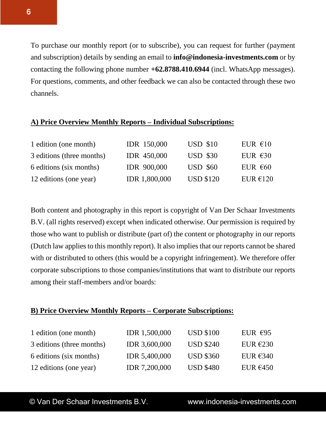To purchase our monthly report (or to subscribe), you can request for further (payment and subscription) details by sending an email to **info@indonesia-investments.com** or by contacting the following phone number **+62.8788.410.6944** (incl. WhatsApp messages). For questions, comments, and other feedback we can also be contacted through these two channels.

#### **A) Price Overview Monthly Reports – Individual Subscriptions:**

| 1 edition (one month)     | <b>IDR</b> 150,000   | <b>USD \$10</b>  | EUR $\epsilon$ 10 |
|---------------------------|----------------------|------------------|-------------------|
| 3 editions (three months) | <b>IDR 450,000</b>   | <b>USD \$30</b>  | EUR $\epsilon$ 30 |
| 6 editions (six months)   | <b>IDR 900,000</b>   | <b>USD \$60</b>  | EUR $\epsilon$ 60 |
| 12 editions (one year)    | <b>IDR 1,800,000</b> | <b>USD \$120</b> | EUR $€120$        |

Both content and photography in this report is copyright of Van Der Schaar Investments B.V. (all rights reserved) except when indicated otherwise. Our permission is required by those who want to publish or distribute (part of) the content or photography in our reports (Dutch law applies to this monthly report). It also implies that our reports cannot be shared with or distributed to others (this would be a copyright infringement). We therefore offer corporate subscriptions to those companies/institutions that want to distribute our reports among their staff-members and/or boards:

#### **B) Price Overview Monthly Reports – Corporate Subscriptions:**

| 1 edition (one month)     | <b>IDR</b> 1,500,000 | <b>USD \$100</b> | EUR $€95$  |
|---------------------------|----------------------|------------------|------------|
| 3 editions (three months) | <b>IDR 3,600,000</b> | <b>USD \$240</b> | EUR $E230$ |
| 6 editions (six months)   | <b>IDR 5,400,000</b> | <b>USD \$360</b> | EUR $€340$ |
| 12 editions (one year)    | <b>IDR 7,200,000</b> | <b>USD \$480</b> | EUR $€450$ |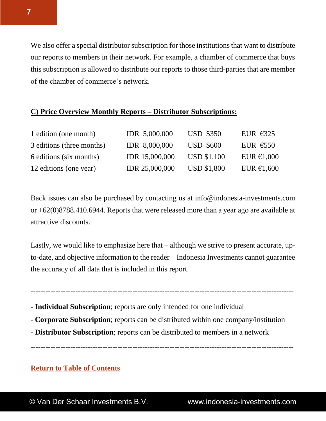We also offer a special distributor subscription for those institutions that want to distribute our reports to members in their network. For example, a chamber of commerce that buys this subscription is allowed to distribute our reports to those third-parties that are member of the chamber of commerce's network.

#### **C) Price Overview Monthly Reports – Distributor Subscriptions:**

| 1 edition (one month)     | IDR 5,000,000        | <b>USD \$350</b>   | EUR $\epsilon$ 325 |
|---------------------------|----------------------|--------------------|--------------------|
| 3 editions (three months) | <b>IDR 8,000,000</b> | <b>USD \$600</b>   | EUR $E$ 550        |
| 6 editions (six months)   | IDR 15,000,000       | <b>USD \$1,100</b> | EUR $€1,000$       |
| 12 editions (one year)    | IDR 25,000,000       | <b>USD \$1,800</b> | EUR $€1,600$       |

Back issues can also be purchased by contacting us at info@indonesia-investments.com or +62(0)8788.410.6944. Reports that were released more than a year ago are available at attractive discounts.

Lastly, we would like to emphasize here that – although we strive to present accurate, upto-date, and objective information to the reader – Indonesia Investments cannot guarantee the accuracy of all data that is included in this report.

----------------------------------------------------------------------------------------------------------

- **Individual Subscription**; reports are only intended for one individual
- **Corporate Subscription**; reports can be distributed within one company/institution

----------------------------------------------------------------------------------------------------------

- **Distributor Subscription**; reports can be distributed to members in a network

#### **[Return to Table of Contents](#page-2-0)**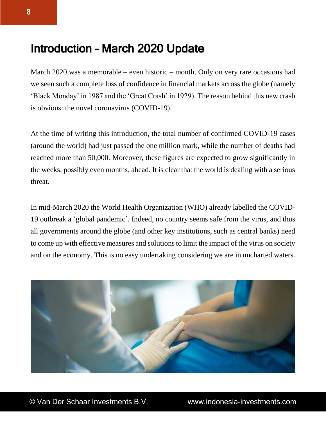## <span id="page-7-0"></span>Introduction – March 2020 Update

March 2020 was a memorable – even historic – month. Only on very rare occasions had we seen such a complete loss of confidence in financial markets across the globe (namely 'Black Monday' in 1987 and the 'Great Crash' in 1929). The reason behind this new crash is obvious: the novel coronavirus (COVID-19).

At the time of writing this introduction, the total number of confirmed COVID-19 cases (around the world) had just passed the one million mark, while the number of deaths had reached more than 50,000. Moreover, these figures are expected to grow significantly in the weeks, possibly even months, ahead. It is clear that the world is dealing with a serious threat.

In mid-March 2020 the World Health Organization (WHO) already labelled the COVID-19 outbreak a 'global pandemic'. Indeed, no country seems safe from the virus, and thus all governments around the globe (and other key institutions, such as central banks) need to come up with effective measures and solutions to limit the impact of the virus on society and on the economy. This is no easy undertaking considering we are in uncharted waters.

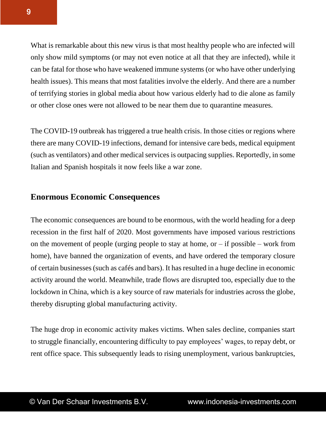What is remarkable about this new virus is that most healthy people who are infected will only show mild symptoms (or may not even notice at all that they are infected), while it can be fatal for those who have weakened immune systems (or who have other underlying health issues). This means that most fatalities involve the elderly. And there are a number of terrifying stories in global media about how various elderly had to die alone as family or other close ones were not allowed to be near them due to quarantine measures.

The COVID-19 outbreak has triggered a true health crisis. In those cities or regions where there are many COVID-19 infections, demand for intensive care beds, medical equipment (such as ventilators) and other medical services is outpacing supplies. Reportedly, in some Italian and Spanish hospitals it now feels like a war zone.

#### **Enormous Economic Consequences**

The economic consequences are bound to be enormous, with the world heading for a deep recession in the first half of 2020. Most governments have imposed various restrictions on the movement of people (urging people to stay at home, or  $-$  if possible  $-$  work from home), have banned the organization of events, and have ordered the temporary closure of certain businesses (such as cafés and bars). It has resulted in a huge decline in economic activity around the world. Meanwhile, trade flows are disrupted too, especially due to the lockdown in China, which is a key source of raw materials for industries across the globe, thereby disrupting global manufacturing activity.

The huge drop in economic activity makes victims. When sales decline, companies start to struggle financially, encountering difficulty to pay employees' wages, to repay debt, or rent office space. This subsequently leads to rising unemployment, various bankruptcies,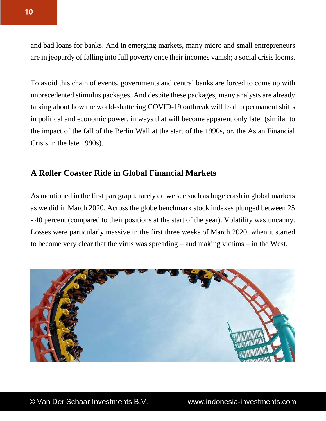and bad loans for banks. And in emerging markets, many micro and small entrepreneurs are in jeopardy of falling into full poverty once their incomes vanish; a social crisis looms.

To avoid this chain of events, governments and central banks are forced to come up with unprecedented stimulus packages. And despite these packages, many analysts are already talking about how the world-shattering COVID-19 outbreak will lead to permanent shifts in political and economic power, in ways that will become apparent only later (similar to the impact of the fall of the Berlin Wall at the start of the 1990s, or, the Asian Financial Crisis in the late 1990s).

#### **A Roller Coaster Ride in Global Financial Markets**

As mentioned in the first paragraph, rarely do we see such as huge crash in global markets as we did in March 2020. Across the globe benchmark stock indexes plunged between 25 - 40 percent (compared to their positions at the start of the year). Volatility was uncanny. Losses were particularly massive in the first three weeks of March 2020, when it started to become very clear that the virus was spreading – and making victims – in the West.

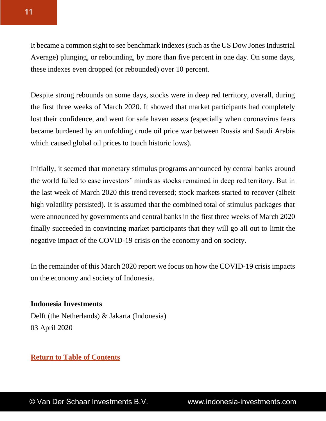It became a common sight to see benchmark indexes (such as the US Dow Jones Industrial Average) plunging, or rebounding, by more than five percent in one day. On some days, these indexes even dropped (or rebounded) over 10 percent.

Despite strong rebounds on some days, stocks were in deep red territory, overall, during the first three weeks of March 2020. It showed that market participants had completely lost their confidence, and went for safe haven assets (especially when coronavirus fears became burdened by an unfolding crude oil price war between Russia and Saudi Arabia which caused global oil prices to touch historic lows).

Initially, it seemed that monetary stimulus programs announced by central banks around the world failed to ease investors' minds as stocks remained in deep red territory. But in the last week of March 2020 this trend reversed; stock markets started to recover (albeit high volatility persisted). It is assumed that the combined total of stimulus packages that were announced by governments and central banks in the first three weeks of March 2020 finally succeeded in convincing market participants that they will go all out to limit the negative impact of the COVID-19 crisis on the economy and on society.

In the remainder of this March 2020 report we focus on how the COVID-19 crisis impacts on the economy and society of Indonesia.

#### **Indonesia Investments**

Delft (the Netherlands) & Jakarta (Indonesia) 03 April 2020

#### **[Return to Table of Contents](#page-2-0)**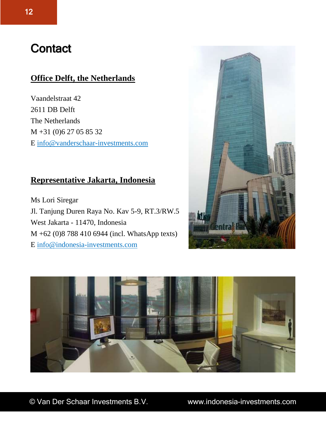## <span id="page-11-0"></span>**Contact**

#### **Office Delft, the Netherlands**

Vaandelstraat 42 2611 DB Delft The Netherlands M +31 (0)6 27 05 85 32 E info@vanderschaar-investments.com

#### **Representative Jakarta, Indonesia**

Ms Lori Siregar Jl. Tanjung Duren Raya No. Kav 5-9, RT.3/RW.5 West Jakarta - 11470, Indonesia M +62 (0)8 788 410 6944 (incl. WhatsApp texts) E [info@indonesia-investments.com](mailto:info@indonesia-investments.com)



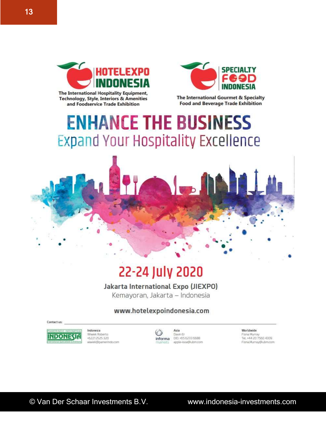

The International Hospitality Equipment, **Technology, Style, Interiors & Amenities** and Foodservice Trade Exhibition

The International Gourmet & Specialty **Food and Beverage Trade Exhibition** 

# **ENHANCE THE BUSINESS Expand Your Hospitality Excellence**



# 22-24 July 2020

Jakarta International Expo (JIEXPO)

Kemayoran, Jakarta - Indonesia

#### www.hotelexpoindonesia.com

Contact us:

**INDONES** 

Indonesia Wiwiek Roberto +62212525320 wiwiek@pamerindo.com

Asia  $_{\odot}$ Davin Er informa DID. +6562336688 apple-isoa@ubm.com **markets** 

Worldwide Fiona Murray Tel. +44 20 7560 4309 Fiona, Murray @ubm.com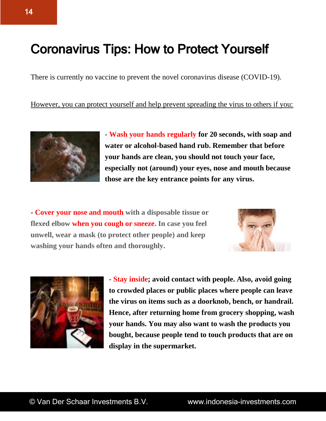# <span id="page-13-0"></span>Coronavirus Tips: How to Protect Yourself

There is currently no vaccine to prevent the novel coronavirus disease (COVID-19).

However, you can protect yourself and help prevent spreading the virus to others if you:



- **Wash your hands regularly for 20 seconds, with soap and water or alcohol-based hand rub. Remember that before your hands are clean, you should not touch your face, especially not (around) your eyes, nose and mouth because those are the key entrance points for any virus.**

- **Cover your nose and mouth with a disposable tissue or flexed elbow when you cough or sneeze. In case you feel unwell, wear a mask (to protect other people) and keep washing your hands often and thoroughly.**





- **Stay inside; avoid contact with people. Also, avoid going to crowded places or public places where people can leave the virus on items such as a doorknob, bench, or handrail. Hence, after returning home from grocery shopping, wash your hands. You may also want to wash the products you bought, because people tend to touch products that are on display in the supermarket.**